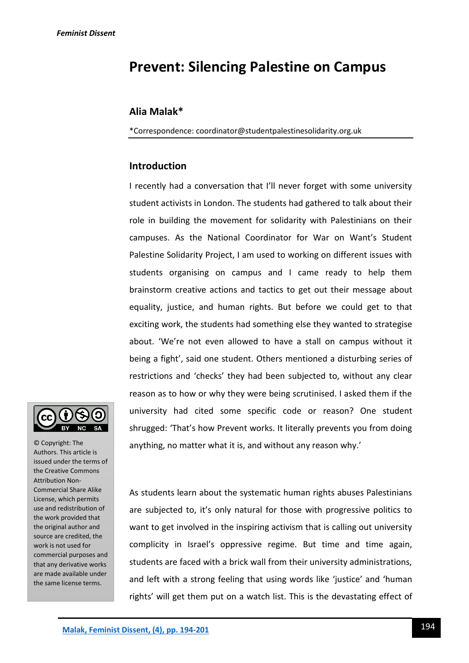# **Prevent: Silencing Palestine on Campus**

## **Alia Malak\***

\*Correspondence: coordinator@studentpalestinesolidarity.org.uk

## **Introduction**

I recently had a conversation that I'll never forget with some university student activists in London. The students had gathered to talk about their role in building the movement for solidarity with Palestinians on their campuses. As the National Coordinator for War on Want's Student Palestine Solidarity Project, I am used to working on different issues with students organising on campus and I came ready to help them brainstorm creative actions and tactics to get out their message about equality, justice, and human rights. But before we could get to that exciting work, the students had something else they wanted to strategise about. 'We're not even allowed to have a stall on campus without it being a fight', said one student. Others mentioned a disturbing series of restrictions and 'checks' they had been subjected to, without any clear reason as to how or why they were being scrutinised. I asked them if the university had cited some specific code or reason? One student shrugged: 'That's how Prevent works. It literally prevents you from doing anything, no matter what it is, and without any reason why.'



© Copyright: The Authors. This article is issued under the terms of the Creative Commons Attribution Non-Commercial Share Alike License, which permits use and redistribution of the work provided that the original author and source are credited, the work is not used for commercial purposes and that any derivative works are made available under the same license terms.

As students learn about the systematic human rights abuses Palestinians are subjected to, it's only natural for those with progressive politics to want to get involved in the inspiring activism that is calling out university complicity in Israel's oppressive regime. But time and time again, students are faced with a brick wall from their university administrations, and left with a strong feeling that using words like 'justice' and 'human rights' will get them put on a watch list. This is the devastating effect of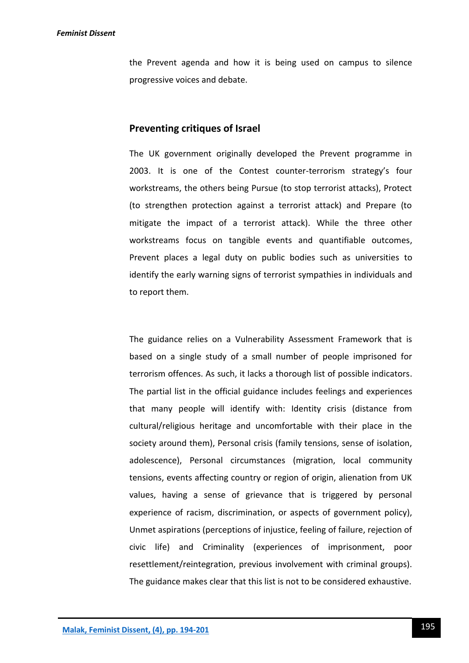the Prevent agenda and how it is being used on campus to silence progressive voices and debate.

# **Preventing critiques of Israel**

The UK government originally developed the Prevent programme in 2003. It is one of the Contest counter-terrorism strategy's four workstreams, the others being Pursue (to stop terrorist attacks), Protect (to strengthen protection against a terrorist attack) and Prepare (to mitigate the impact of a terrorist attack). While the three other workstreams focus on tangible events and quantifiable outcomes, Prevent places a legal duty on public bodies such as universities to identify the early warning signs of terrorist sympathies in individuals and to report them.

The guidance relies on a Vulnerability Assessment Framework that is based on a single study of a small number of people imprisoned for terrorism offences. As such, it lacks a thorough list of possible indicators. The partial list in the official guidance includes feelings and experiences that many people will identify with: Identity crisis (distance from cultural/religious heritage and uncomfortable with their place in the society around them), Personal crisis (family tensions, sense of isolation, adolescence), Personal circumstances (migration, local community tensions, events affecting country or region of origin, alienation from UK values, having a sense of grievance that is triggered by personal experience of racism, discrimination, or aspects of government policy), Unmet aspirations (perceptions of injustice, feeling of failure, rejection of civic life) and Criminality (experiences of imprisonment, poor resettlement/reintegration, previous involvement with criminal groups). The guidance makes clear that this list is not to be considered exhaustive.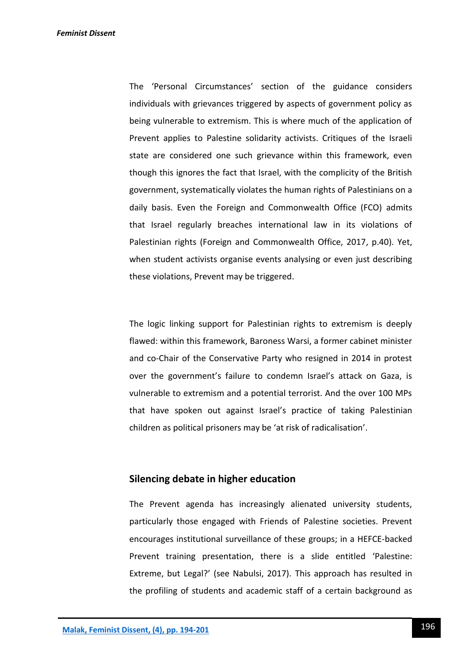The 'Personal Circumstances' section of the guidance considers individuals with grievances triggered by aspects of government policy as being vulnerable to extremism. This is where much of the application of Prevent applies to Palestine solidarity activists. Critiques of the Israeli state are considered one such grievance within this framework, even though this ignores the fact that Israel, with the complicity of the British government, systematically violates the human rights of Palestinians on a daily basis. Even the Foreign and Commonwealth Office (FCO) admits that Israel regularly breaches international law in its violations of Palestinian rights (Foreign and Commonwealth Office, 2017, p.40). Yet, when student activists organise events analysing or even just describing these violations, Prevent may be triggered.

The logic linking support for Palestinian rights to extremism is deeply flawed: within this framework, Baroness Warsi, a former cabinet minister and co-Chair of the Conservative Party who resigned in 2014 in protest over the government's failure to condemn Israel's attack on Gaza, is vulnerable to extremism and a potential terrorist. And the over 100 MPs that have spoken out against Israel's practice of taking Palestinian children as political prisoners may be 'at risk of radicalisation'.

# **Silencing debate in higher education**

The Prevent agenda has increasingly alienated university students, particularly those engaged with Friends of Palestine societies. Prevent encourages institutional surveillance of these groups; in a HEFCE-backed Prevent training presentation, there is a slide entitled 'Palestine: Extreme, but Legal?' (see Nabulsi, 2017). This approach has resulted in the profiling of students and academic staff of a certain background as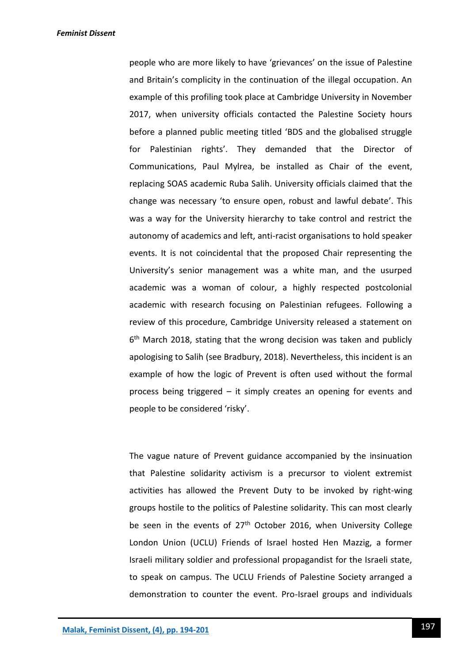people who are more likely to have 'grievances' on the issue of Palestine and Britain's complicity in the continuation of the illegal occupation. An example of this profiling took place at Cambridge University in November 2017, when university officials contacted the Palestine Society hours before a planned public meeting titled 'BDS and the globalised struggle for Palestinian rights'. They demanded that the Director of Communications, Paul Mylrea, be installed as Chair of the event, replacing SOAS academic Ruba Salih. University officials claimed that the change was necessary 'to ensure open, robust and lawful debate'. This was a way for the University hierarchy to take control and restrict the autonomy of academics and left, anti-racist organisations to hold speaker events. It is not coincidental that the proposed Chair representing the University's senior management was a white man, and the usurped academic was a woman of colour, a highly respected postcolonial academic with research focusing on Palestinian refugees. Following a review of this procedure, Cambridge University released a statement on 6<sup>th</sup> March 2018, stating that the wrong decision was taken and publicly apologising to Salih (see Bradbury, 2018). Nevertheless, this incident is an example of how the logic of Prevent is often used without the formal process being triggered – it simply creates an opening for events and people to be considered 'risky'.

The vague nature of Prevent guidance accompanied by the insinuation that Palestine solidarity activism is a precursor to violent extremist activities has allowed the Prevent Duty to be invoked by right-wing groups hostile to the politics of Palestine solidarity. This can most clearly be seen in the events of  $27<sup>th</sup>$  October 2016, when University College London Union (UCLU) Friends of Israel hosted Hen Mazzig, a former Israeli military soldier and professional propagandist for the Israeli state, to speak on campus. The UCLU Friends of Palestine Society arranged a demonstration to counter the event. Pro-Israel groups and individuals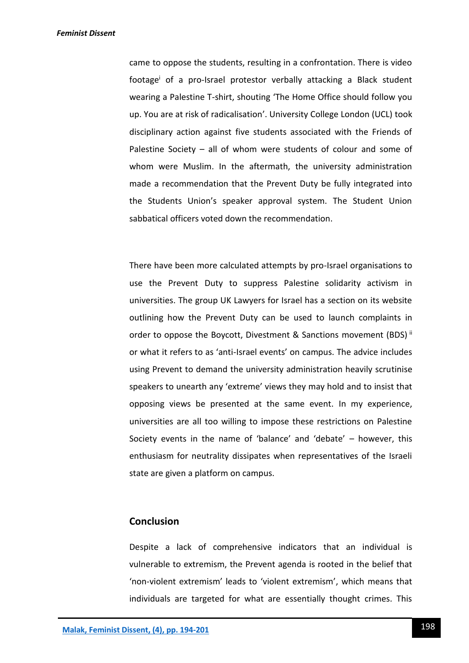came to oppose the students, resulting in a confrontation. There is video footage<sup>i</sup> of a pro-Israel protestor verbally attacking a Black student wearing a Palestine T-shirt, shouting 'The Home Office should follow you up. You are at risk of radicalisation'. University College London (UCL) took disciplinary action against five students associated with the Friends of Palestine Society – all of whom were students of colour and some of whom were Muslim. In the aftermath, the university administration made a recommendation that the Prevent Duty be fully integrated into the Students Union's speaker approval system. The Student Union sabbatical officers voted down the recommendation.

There have been more calculated attempts by pro-Israel organisations to use the Prevent Duty to suppress Palestine solidarity activism in universities. The group UK Lawyers for Israel has a section on its website outlining how the Prevent Duty can be used to launch complaints in order to oppose the Boycott, Divestment & Sanctions movement (BDS)<sup>ii</sup> or what it refers to as 'anti-Israel events' on campus. The advice includes using Prevent to demand the university administration heavily scrutinise speakers to unearth any 'extreme' views they may hold and to insist that opposing views be presented at the same event. In my experience, universities are all too willing to impose these restrictions on Palestine Society events in the name of 'balance' and 'debate' – however, this enthusiasm for neutrality dissipates when representatives of the Israeli state are given a platform on campus.

#### **Conclusion**

Despite a lack of comprehensive indicators that an individual is vulnerable to extremism, the Prevent agenda is rooted in the belief that 'non-violent extremism' leads to 'violent extremism', which means that individuals are targeted for what are essentially thought crimes. This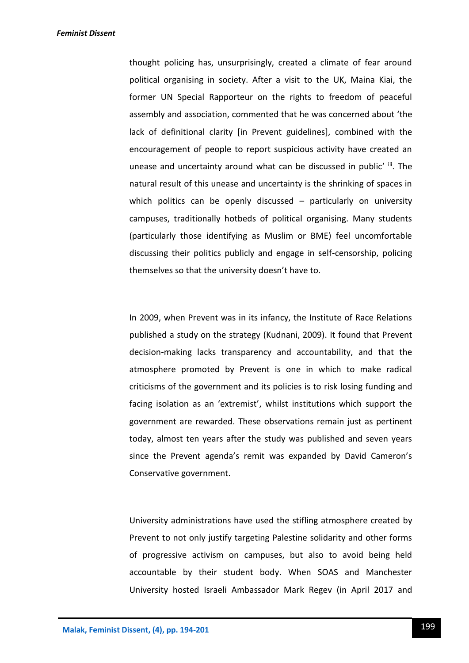thought policing has, unsurprisingly, created a climate of fear around political organising in society. After a visit to the UK, Maina Kiai, the former UN Special Rapporteur on the rights to freedom of peaceful assembly and association, commented that he was concerned about 'the lack of definitional clarity [in Prevent guidelines], combined with the encouragement of people to report suspicious activity have created an unease and uncertainty around what can be discussed in public' iii. The natural result of this unease and uncertainty is the shrinking of spaces in which politics can be openly discussed – particularly on university campuses, traditionally hotbeds of political organising. Many students (particularly those identifying as Muslim or BME) feel uncomfortable discussing their politics publicly and engage in self-censorship, policing themselves so that the university doesn't have to.

In 2009, when Prevent was in its infancy, the Institute of Race Relations published a study on the strategy (Kudnani, 2009). It found that Prevent decision-making lacks transparency and accountability, and that the atmosphere promoted by Prevent is one in which to make radical criticisms of the government and its policies is to risk losing funding and facing isolation as an 'extremist', whilst institutions which support the government are rewarded. These observations remain just as pertinent today, almost ten years after the study was published and seven years since the Prevent agenda's remit was expanded by David Cameron's Conservative government.

University administrations have used the stifling atmosphere created by Prevent to not only justify targeting Palestine solidarity and other forms of progressive activism on campuses, but also to avoid being held accountable by their student body. When SOAS and Manchester University hosted Israeli Ambassador Mark Regev (in April 2017 and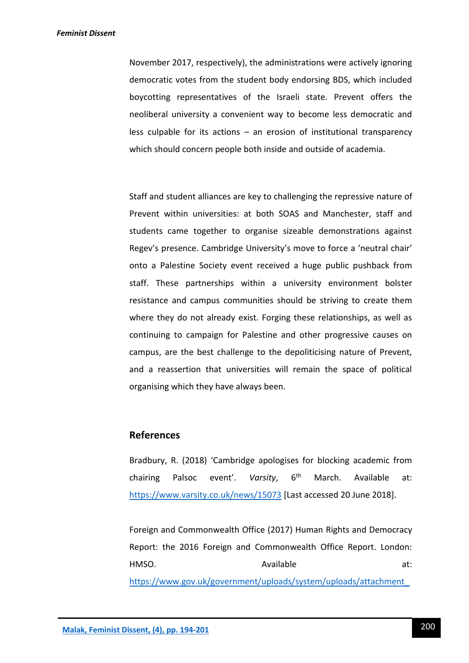#### *Feminist Dissent*

November 2017, respectively), the administrations were actively ignoring democratic votes from the student body endorsing BDS, which included boycotting representatives of the Israeli state. Prevent offers the neoliberal university a convenient way to become less democratic and less culpable for its actions – an erosion of institutional transparency which should concern people both inside and outside of academia.

Staff and student alliances are key to challenging the repressive nature of Prevent within universities: at both SOAS and Manchester, staff and students came together to organise sizeable demonstrations against Regev's presence. Cambridge University's move to force a 'neutral chair' onto a Palestine Society event received a huge public pushback from staff. These partnerships within a university environment bolster resistance and campus communities should be striving to create them where they do not already exist. Forging these relationships, as well as continuing to campaign for Palestine and other progressive causes on campus, are the best challenge to the depoliticising nature of Prevent, and a reassertion that universities will remain the space of political organising which they have always been.

# **References**

Bradbury, R. (2018) 'Cambridge apologises for blocking academic from chairing Palsoc event'. *Varsity*, 6th March. Available at: <https://www.varsity.co.uk/news/15073> [Last accessed 20 June 2018].

Foreign and Commonwealth Office (2017) Human Rights and Democracy Report: the 2016 Foreign and Commonwealth Office Report. London: HMSO. Available at: [https://www.gov.uk/government/uploads/system/uploads/attachment\\_](https://www.gov.uk/government/uploads/system/uploads/attachment_data/file/630623/Human_Rights_and_Democracy_Report_2016_accessible.pdf)